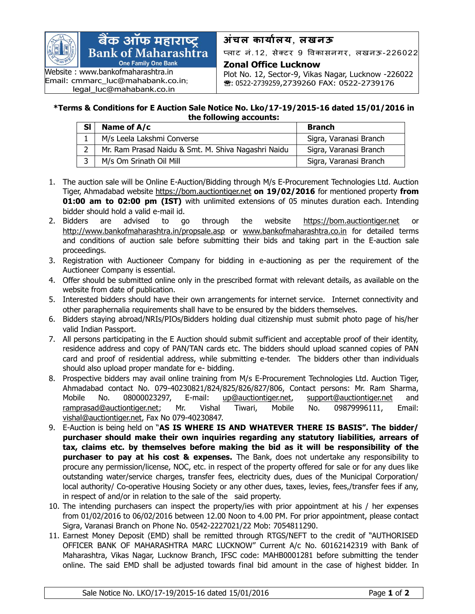

## बैंक ऑफ महाराष्ट्र **Bank of Maharashtra One Family One Bank**

Website : [www.banko](http://www.bank/)fmaharashtra.in Email: [cmmarc\\_luc@mahabank.co.in](mailto:cmmarc_luc@mahabank.co.in); [legal\\_luc@mahabank.co.in](mailto:legal_luc@mahabank.co.in)

## **अंचल कार्ाालर्**, **लखनऊ**

प्लाट नं.12, सेक्टर 9 विकासनगर, लखनऊ-226022

## **Zonal Office Lucknow**

Plot No. 12, Sector-9, Vikas Nagar, Lucknow -226022 **:** 0522-2739259,2739260 FAX: 0522-2739176

## **\*Terms & Conditions for E Auction Sale Notice No. Lko/17-19/2015-16 dated 15/01/2016 in the following accounts:**

| <b>SI</b> | Name of A/c                                         | <b>Branch</b>          |
|-----------|-----------------------------------------------------|------------------------|
|           | M/s Leela Lakshmi Converse                          | Sigra, Varanasi Branch |
|           | Mr. Ram Prasad Naidu & Smt. M. Shiva Nagashri Naidu | Sigra, Varanasi Branch |
|           | M/s Om Srinath Oil Mill                             | Sigra, Varanasi Branch |

- 1. The auction sale will be Online E-Auction/Bidding through M/s E-Procurement Technologies Ltd. Auction Tiger, Ahmadabad website [https://bom.auctiontiger.net](https://bom.auctiontiger.net/) **on 19/02/2016** for mentioned property **from 01:00 am to 02:00 pm (IST)** with unlimited extensions of 05 minutes duration each. Intending bidder should hold a valid e-mail id.
- 2. Bidders are advised to go through the website [https://bom.auctiontiger.net](https://bom.auctiontiger.net/) or <http://www.bankofmaharashtra.in/propsale.asp> or [www.banko](http://www.bank/)fmaharashtra.co.in for detailed terms and conditions of auction sale before submitting their bids and taking part in the E-auction sale proceedings.
- 3. Registration with Auctioneer Company for bidding in e-auctioning as per the requirement of the Auctioneer Company is essential.
- 4. Offer should be submitted online only in the prescribed format with relevant details, as available on the website from date of publication.
- 5. Interested bidders should have their own arrangements for internet service. Internet connectivity and other paraphernalia requirements shall have to be ensured by the bidders themselves.
- 6. Bidders staying abroad/NRIs/PIOs/Bidders holding dual citizenship must submit photo page of his/her valid Indian Passport.
- 7. All persons participating in the E Auction should submit sufficient and acceptable proof of their identity, residence address and copy of PAN/TAN cards etc. The bidders should upload scanned copies of PAN card and proof of residential address, while submitting e-tender. The bidders other than individuals should also upload proper mandate for e- bidding.
- 8. Prospective bidders may avail online training from M/s E-Procurement Technologies Ltd. Auction Tiger, Ahmadabad contact No. 079-40230821/824/825/826/827/806, Contact persons: Mr. Ram Sharma, Mobile No. 08000023297, E-mail: [up@auctiontiger.net,](mailto:up@auctiontiger.net) [support@auctiontiger.net](mailto:support@auctiontiger.net) and [ramprasad@auctiontiger.net;](mailto:ramprasad@auctiontiger.net) Mr. Vishal Tiwari, Mobile No. 09879996111, Email: [vishal@auctiontiger.net,](mailto:vijay.shetty@auctiontiger.net) Fax No 079-40230847.
- 9. E-Auction is being held on "**AS IS WHERE IS AND WHATEVER THERE IS BASIS". The bidder/ purchaser should make their own inquiries regarding any statutory liabilities, arrears of tax, claims etc. by themselves before making the bid as it will be responsibility of the purchaser to pay at his cost & expenses.** The Bank, does not undertake any responsibility to procure any permission/license, NOC, etc. in respect of the property offered for sale or for any dues like outstanding water/service charges, transfer fees, electricity dues, dues of the Municipal Corporation/ local authority/ Co-operative Housing Society or any other dues, taxes, levies, fees,/transfer fees if any, in respect of and/or in relation to the sale of the said property.
- 10. The intending purchasers can inspect the property/ies with prior appointment at his / her expenses from 01/02/2016 to 06/02/2016 between 12.00 Noon to 4.00 PM. For prior appointment, please contact Sigra, Varanasi Branch on Phone No. 0542-2227021/22 Mob: 7054811290.
- 11. Earnest Money Deposit (EMD) shall be remitted through RTGS/NEFT to the credit of "AUTHORISED OFFICER BANK OF MAHARASHTRA MARC LUCKNOW" Current A/c No. 60162142319 with Bank of Maharashtra, Vikas Nagar, Lucknow Branch, IFSC code: MAHB0001281 before submitting the tender online. The said EMD shall be adjusted towards final bid amount in the case of highest bidder. In